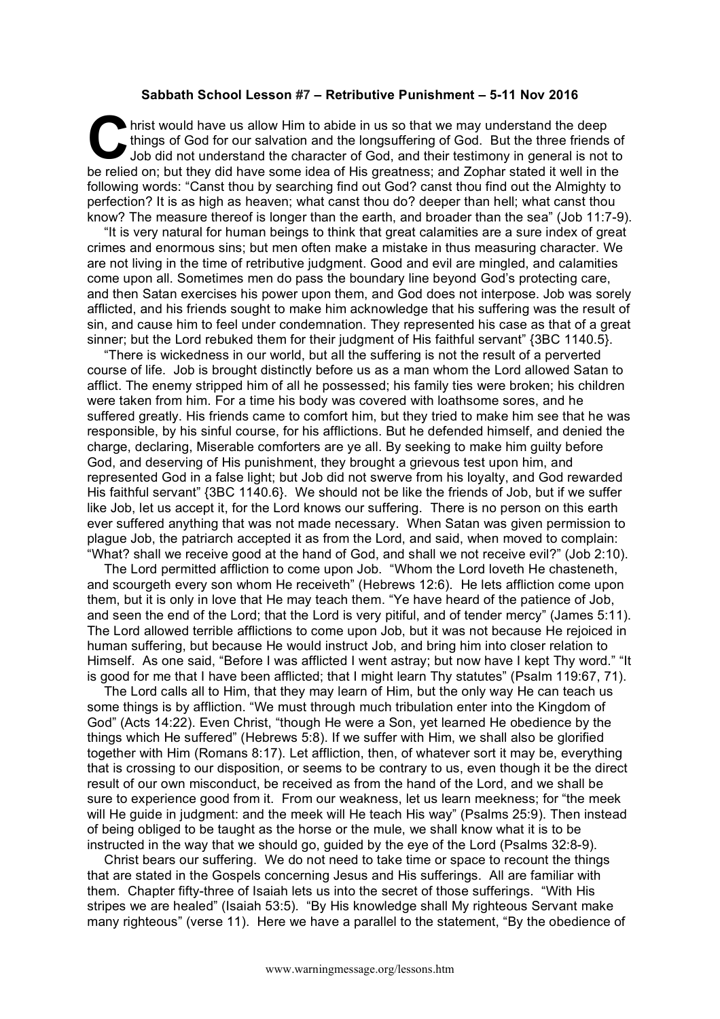## **Sabbath School Lesson #7 – Retributive Punishment – 5-11 Nov 2016**

hrist would have us allow Him to abide in us so that we may understand the deep things of God for our salvation and the longsuffering of God. But the three friends of Job did not understand the character of God, and their testimony in general is not to be relied on; but they did have some idea of His greatness; and Zophar stated it well in the following words: "Canst thou by searching find out God? canst thou find out the Almighty to perfection? It is as high as heaven; what canst thou do? deeper than hell; what canst thou know? The measure thereof is longer than the earth, and broader than the sea" (Job 11:7-9). **C** this

"It is very natural for human beings to think that great calamities are a sure index of great crimes and enormous sins; but men often make a mistake in thus measuring character. We are not living in the time of retributive judgment. Good and evil are mingled, and calamities come upon all. Sometimes men do pass the boundary line beyond God's protecting care, and then Satan exercises his power upon them, and God does not interpose. Job was sorely afflicted, and his friends sought to make him acknowledge that his suffering was the result of sin, and cause him to feel under condemnation. They represented his case as that of a great sinner; but the Lord rebuked them for their judgment of His faithful servant" {3BC 1140.5}.

"There is wickedness in our world, but all the suffering is not the result of a perverted course of life. Job is brought distinctly before us as a man whom the Lord allowed Satan to afflict. The enemy stripped him of all he possessed; his family ties were broken; his children were taken from him. For a time his body was covered with loathsome sores, and he suffered greatly. His friends came to comfort him, but they tried to make him see that he was responsible, by his sinful course, for his afflictions. But he defended himself, and denied the charge, declaring, Miserable comforters are ye all. By seeking to make him guilty before God, and deserving of His punishment, they brought a grievous test upon him, and represented God in a false light; but Job did not swerve from his loyalty, and God rewarded His faithful servant" {3BC 1140.6}. We should not be like the friends of Job, but if we suffer like Job, let us accept it, for the Lord knows our suffering. There is no person on this earth ever suffered anything that was not made necessary. When Satan was given permission to plague Job, the patriarch accepted it as from the Lord, and said, when moved to complain: "What? shall we receive good at the hand of God, and shall we not receive evil?" (Job 2:10).

The Lord permitted affliction to come upon Job. "Whom the Lord loveth He chasteneth, and scourgeth every son whom He receiveth" (Hebrews 12:6). He lets affliction come upon them, but it is only in love that He may teach them. "Ye have heard of the patience of Job, and seen the end of the Lord; that the Lord is very pitiful, and of tender mercy" (James 5:11). The Lord allowed terrible afflictions to come upon Job, but it was not because He rejoiced in human suffering, but because He would instruct Job, and bring him into closer relation to Himself. As one said, "Before I was afflicted I went astray; but now have I kept Thy word." "It is good for me that I have been afflicted; that I might learn Thy statutes" (Psalm 119:67, 71).

The Lord calls all to Him, that they may learn of Him, but the only way He can teach us some things is by affliction. "We must through much tribulation enter into the Kingdom of God" (Acts 14:22). Even Christ, "though He were a Son, yet learned He obedience by the things which He suffered" (Hebrews 5:8). If we suffer with Him, we shall also be glorified together with Him (Romans 8:17). Let affliction, then, of whatever sort it may be, everything that is crossing to our disposition, or seems to be contrary to us, even though it be the direct result of our own misconduct, be received as from the hand of the Lord, and we shall be sure to experience good from it. From our weakness, let us learn meekness; for "the meek will He guide in judgment: and the meek will He teach His way" (Psalms 25:9). Then instead of being obliged to be taught as the horse or the mule, we shall know what it is to be instructed in the way that we should go, guided by the eye of the Lord (Psalms 32:8-9).

Christ bears our suffering. We do not need to take time or space to recount the things that are stated in the Gospels concerning Jesus and His sufferings. All are familiar with them. Chapter fifty-three of Isaiah lets us into the secret of those sufferings. "With His stripes we are healed" (Isaiah 53:5). "By His knowledge shall My righteous Servant make many righteous" (verse 11). Here we have a parallel to the statement, "By the obedience of